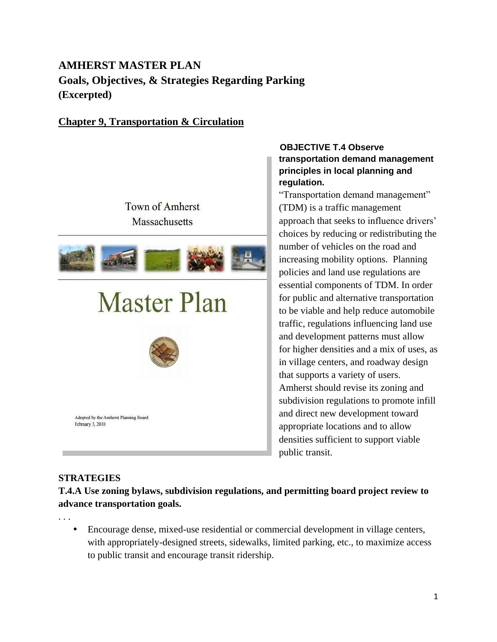# **AMHERST MASTER PLAN Goals, Objectives, & Strategies Regarding Parking (Excerpted)**

## **Chapter 9, Transportation & Circulation**



#### **OBJECTIVE T.4 Observe transportation demand management principles in local planning and regulation.**

"Transportation demand management" (TDM) is a traffic management approach that seeks to influence drivers' choices by reducing or redistributing the number of vehicles on the road and increasing mobility options. Planning policies and land use regulations are essential components of TDM. In order for public and alternative transportation to be viable and help reduce automobile traffic, regulations influencing land use and development patterns must allow for higher densities and a mix of uses, as in village centers, and roadway design that supports a variety of users. Amherst should revise its zoning and subdivision regulations to promote infill and direct new development toward appropriate locations and to allow densities sufficient to support viable public transit.

## **STRATEGIES**

. . .

**T.4.A Use zoning bylaws, subdivision regulations, and permitting board project review to advance transportation goals.**

 Encourage dense, mixed-use residential or commercial development in village centers, with appropriately-designed streets, sidewalks, limited parking, etc., to maximize access to public transit and encourage transit ridership.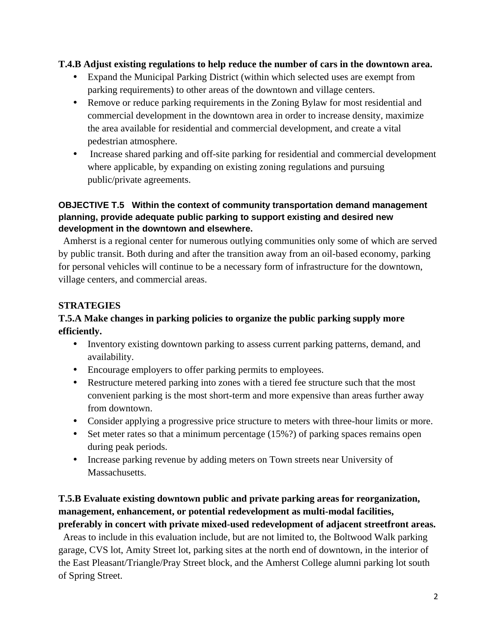#### **T.4.B Adjust existing regulations to help reduce the number of cars in the downtown area.**

- Expand the Municipal Parking District (within which selected uses are exempt from parking requirements) to other areas of the downtown and village centers.
- Remove or reduce parking requirements in the Zoning Bylaw for most residential and commercial development in the downtown area in order to increase density, maximize the area available for residential and commercial development, and create a vital pedestrian atmosphere.
- Increase shared parking and off-site parking for residential and commercial development where applicable, by expanding on existing zoning regulations and pursuing public/private agreements.

#### **OBJECTIVE T.5 Within the context of community transportation demand management planning, provide adequate public parking to support existing and desired new development in the downtown and elsewhere.**

 Amherst is a regional center for numerous outlying communities only some of which are served by public transit. Both during and after the transition away from an oil-based economy, parking for personal vehicles will continue to be a necessary form of infrastructure for the downtown, village centers, and commercial areas.

## **STRATEGIES**

## **T.5.A Make changes in parking policies to organize the public parking supply more efficiently.**

- Inventory existing downtown parking to assess current parking patterns, demand, and availability.
- Encourage employers to offer parking permits to employees.
- Restructure metered parking into zones with a tiered fee structure such that the most convenient parking is the most short-term and more expensive than areas further away from downtown.
- Consider applying a progressive price structure to meters with three-hour limits or more.
- Set meter rates so that a minimum percentage  $(15\%)$  of parking spaces remains open during peak periods.
- Increase parking revenue by adding meters on Town streets near University of Massachusetts.

## **T.5.B Evaluate existing downtown public and private parking areas for reorganization, management, enhancement, or potential redevelopment as multi-modal facilities, preferably in concert with private mixed-used redevelopment of adjacent streetfront areas.**

 Areas to include in this evaluation include, but are not limited to, the Boltwood Walk parking garage, CVS lot, Amity Street lot, parking sites at the north end of downtown, in the interior of the East Pleasant/Triangle/Pray Street block, and the Amherst College alumni parking lot south of Spring Street.